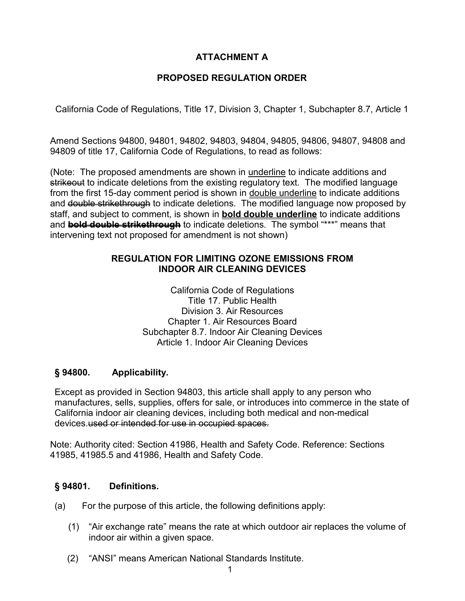# **ATTACHMENT A**

# **PROPOSED REGULATION ORDER**

California Code of Regulations, Title 17, Division 3, Chapter 1, Subchapter 8.7, Article 1

 Amend Sections 94800, 94801, 94802, 94803, 94804, 94805, 94806, 94807, 94808 and 94809 of title 17, California Code of Regulations, to read as follows:

(Note: The proposed amendments are shown in underline to indicate additions and <del>strikeout</del> to indicate deletions from the existing regulatory text. The modified language from the first 15-day comment period is shown in <u>double underline</u> to indicate additions and <del>double strikethrough</del> to indicate deletions. The modified language now proposed by and **bold double strikethrough** to indicate deletions. The symbol "\*\*\*" means that staff, and subject to comment, is shown in **bold double underline** to indicate additions intervening text not proposed for amendment is not shown)

# **REGULATION FOR LIMITING OZONE EMISSIONS FROM INDOOR AIR CLEANING DEVICES**

California Code of Regulations Title 17. Public Health Division 3. Air Resources Chapter 1. Air Resources Board Subchapter 8.7. Indoor Air Cleaning Devices Article 1. Indoor Air Cleaning Devices

#### **§ 94800. Applicability.**

 manufactures, sells, supplies, offers for sale, or introduces into commerce in the state of Except as provided in Section 94803, this article shall apply to any person who California indoor air cleaning devices, including both medical and non-medical devices.used or intended for use in occupied spaces.

Note: Authority cited: Section 41986, Health and Safety Code. Reference: Sections 41985, 41985.5 and 41986, Health and Safety Code.

#### **Definitions.**

- (a) For the purpose of this article, the following definitions apply:
	- indoor air within a given space. (1) "Air exchange rate" means the rate at which outdoor air replaces the volume of
	- (2) "ANSI" means American National Standards Institute.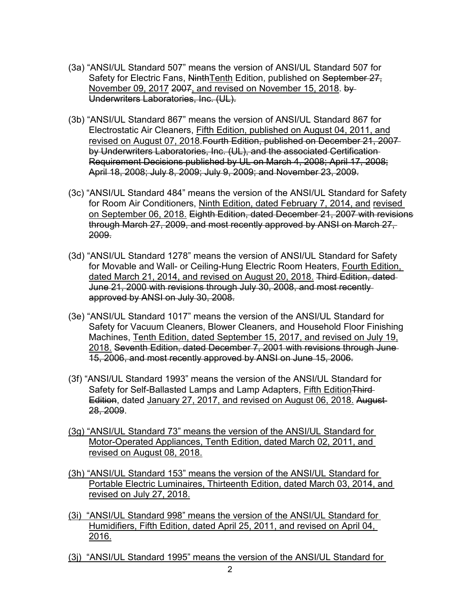- (3a) "ANSI/UL Standard 507" means the version of ANSI/UL Standard 507 for Safety for Electric Fans, NinthTenth Edition, published on September 27, November 09, 2017 2007, and revised on November 15, 2018. by Underwriters Laboratories, Inc. (UL).
- (3b) "ANSI/UL Standard 867" means the version of ANSI/UL Standard 867 for Electrostatic Air Cleaners, Fifth Edition, published on August 04, 2011, and revised on August 07, 2018.Fourth Edition, published on December 21, 2007 by Underwriters Laboratories, Inc. (UL), and the associated Certification Requirement Decisions published by UL on March 4, 2008; April 17, 2008; April 18, 2008; July 8, 2009; July 9, 2009; and November 23, 2009.
- (3c) "ANSI/UL Standard 484" means the version of the ANSI/UL Standard for Safety for Room Air Conditioners, Ninth Edition, dated February 7, 2014, and revised on September 06, 2018. Eighth Edition, dated December 21, 2007 with revisions through March 27, 2009, and most recently approved by ANSI on March 27, 2009.
- (3d) "ANSI/UL Standard 1278" means the version of ANSI/UL Standard for Safety for Movable and Wall- or Ceiling-Hung Electric Room Heaters, Fourth Edition, dated March 21, 2014, and revised on August 20, 2018. Third Edition, dated June 21, 2000 with revisions through July 30, 2008, and most recently approved by ANSI on July 30, 2008.
- (3e) "ANSI/UL Standard 1017" means the version of the ANSI/UL Standard for Safety for Vacuum Cleaners, Blower Cleaners, and Household Floor Finishing Machines, Tenth Edition, dated September 15, 2017, and revised on July 19, 2018. Seventh Edition, dated December 7, 2001 with revisions through June 15, 2006, and most recently approved by ANSI on June 15, 2006.
- Edition, dated January 27, 2017, and revised on August 06, 2018. August (3f) "ANSI/UL Standard 1993" means the version of the ANSI/UL Standard for Safety for Self-Ballasted Lamps and Lamp Adapters, Fifth Edition Third-28, 2009.
- (3g) "ANSI/UL Standard 73" means the version of the ANSI/UL Standard for Motor-Operated Appliances, Tenth Edition, dated March 02, 2011, and revised on August 08, 2018.
- (3h) "ANSI/UL Standard 153" means the version of the ANSI/UL Standard for Portable Electric Luminaires, Thirteenth Edition, dated March 03, 2014, and revised on July 27, 2018.
- (3i) "ANSI/UL Standard 998" means the version of the ANSI/UL Standard for Humidifiers, Fifth Edition, dated April 25, 2011, and revised on April 04, 2016.
- (3j) "ANSI/UL Standard 1995" means the version of the ANSI/UL Standard for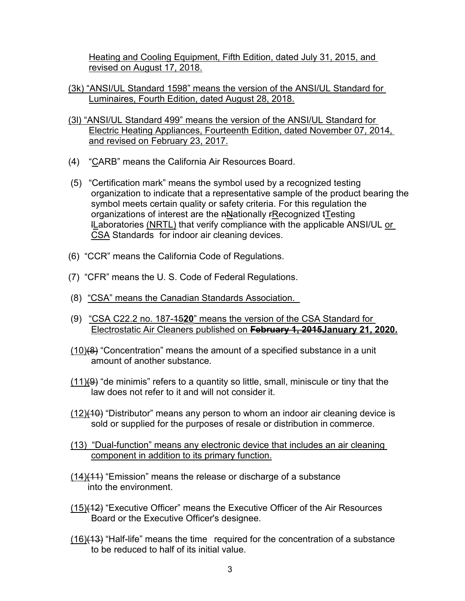Heating and Cooling Equipment, Fifth Edition, dated July 31, 2015, and revised on August 17, 2018.

- (3k) "ANSI/UL Standard 1598" means the version of the ANSI/UL Standard for Luminaires, Fourth Edition, dated August 28, 2018.
- (3l) "ANSI/UL Standard 499" means the version of the ANSI/UL Standard for Electric Heating Appliances, Fourteenth Edition, dated November 07, 2014, and revised on February 23, 2017.
- (4) "CARB" means the California Air Resources Board.
- **l<u>L</u>aboratories <u>(NRTL)</u> that verify compliance with the applicable ANSI/UL <u>or</u>** (5) "Certification mark" means the symbol used by a recognized testing organization to indicate that a representative sample of the product bearing the symbol meets certain quality or safety criteria. For this regulation the organizations of interest are the nNationally FRecognized tTesting CSA Standards for indoor air cleaning devices.
- (6) "CCR" means the California Code of Regulations.
- (7) "CFR" means the U. S. Code of Federal Regulations.
- (8) "CSA" means the Canadian Standards Association.
- (9) "CSA C22.2 no. 187-1520" means the version of the CSA Standard for Electrostatic Air Cleaners published on **February 1, 2015January 21, 2020.**
- amount of another substance.  $(10)(8)$  "Concentration" means the amount of a specified substance in a unit
- law does not refer to it and will not consider it.  $(11)(9)$  "de minimis" refers to a quantity so little, small, miniscule or tiny that the
- sold or supplied for the purposes of resale or distribution in commerce. (12)(10) "Distributor" means any person to whom an indoor air cleaning device is
- (13) "Dual-function" means any electronic device that includes an air cleaning component in addition to its primary function.
- (14)(11) "Emission" means the release or discharge of a substance into the environment.
- Board or the Executive Officer's designee. (15)(12) "Executive Officer" means the Executive Officer of the Air Resources
- <u>(16)(13</u>) "Half-life" means the time required for the concentration of a substance to be reduced to half of its initial value.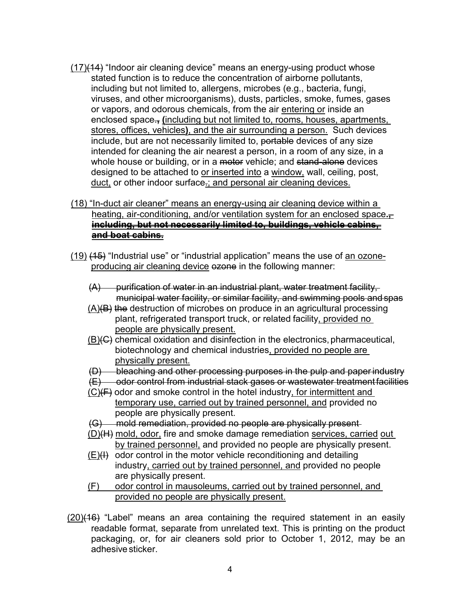- including but not limited to, allergens, microbes (e.g., bacteria, fungi, viruses, and other microorganisms), dusts, particles, smoke, fumes, gases stores, offices, vehicles**)**, and the air surrounding a person. Such devices designed to be attached to <u>or inserted into</u> a <u>window,</u> wall, ceiling, post,  $(17)(14)$  "Indoor air cleaning device" means an energy-using product whose (17)(44)) "Indoor air cleaning device" means an energy-using product whose<br>including but untilined to all energy-using productions,<br>including but infinited to all energy-using corrections, whoses, and other microcogramsin stated function is to reduce the concentration of airborne pollutants, or vapors, and odorous chemicals, from the air entering or inside an enclosed space.**, (**including but not limited to, rooms, houses, apartments, include, but are not necessarily limited to, portable devices of any size intended for cleaning the air nearest a person, in a room of any size, in a whole house or building, or in a motor vehicle; and stand-alone devices duct, or other indoor surface-; and personal air cleaning devices.
- **including, but not necessarily limited to, buildings, vehicle cabins,**  (18) "In-duct air cleaner" means an energy-using air cleaning device within a heating, air-conditioning, and/or ventilation system for an enclosed space. **and boat cabins.**
- <u>(19)</u> <del>(15)</del> "Industrial use" or "industrial application" means the use of <u>an ozone-</u> producing air cleaning device ezone in the following manner:
	- (A) purification of water in an industrial plant, water treatment facility, municipal water facility, or similar facility, and swimming pools and spas
	- <u>(A)</u>(B) the destruction of microbes on produce in an agricultural processing are decirable. It interested on produce in an agricultural process people are physically present.
	- I I I I II I I I I (B)(C) chemical oxidation and disinfection in the electronics,pharmaceutical, biotechnology and chemical industries, provided no people are physically present.
	- (D) bleaching and other processing purposes in the pulp and paper industry
	- (E) odor control from industrial stack gases or wastewater treatment facilities
	- people are physically present.  $(C)(F)$  odor and smoke control in the hotel industry, for intermittent and temporary use, carried out by trained personnel, and provided no
	- (G) mold remediation, provided no people are physically present
	- by trained personnel, and provided no people are physically present. (D)(H) mold, odor, fire and smoke damage remediation services, carried out
	- industry, carried out by trained personnel, and provided no people are physically present.  $(E)$ (H) odor control in the motor vehicle reconditioning and detailing
	- (F) odor control in mausoleums, carried out by trained personnel, and provided no people are physically present.
- packaging, or, for air cleaners sold prior to October 1, 2012, may be an adhesive sticker. (20)(16) "Label" means an area containing the required statement in an easily readable format, separate from unrelated text. This is printing on the product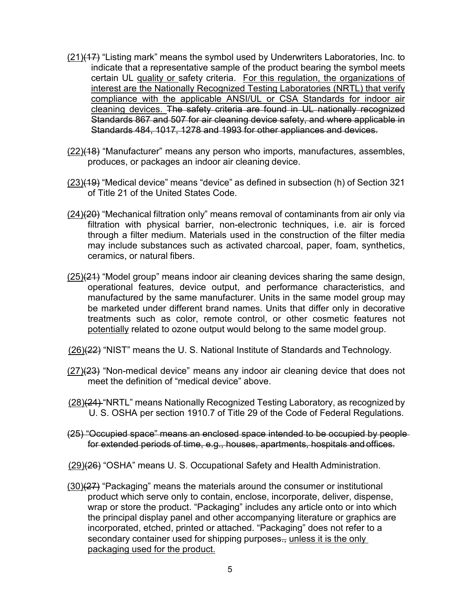- <u>(21)</u>(17) "Listing mark" means the symbol used by Underwriters Laboratories, Inc. to indicate that a representative sample of the product bearing the symbol meets certain UL quality or safety criteria. For this regulation, the organizations of interest are the Nationally Recognized Testing Laboratories (NRTL) that verify Standards 484, 1017, 1278 and 1993 for other appliances and devices. compliance with the applicable ANSI/UL or CSA Standards for indoor air cleaning devices. The safety criteria are found in UL nationally recognized Standards 867 and 507 for air cleaning device safety, and where applicable in
- produces, or packages an indoor air cleaning device. (22)(18) "Manufacturer" means any person who imports, manufactures, assembles,
- of Title 21 of the United States Code. (23)(19) "Medical device" means "device" as defined in subsection (h) of Section 321
- <u>(24)</u>(20) "Mechanical filtration only" means removal of contaminants from air only via through a filter medium. Materials used in the construction of the filter media may include substances such as activated charcoal, paper, foam, synthetics, ceramics, or natural fibers. filtration with physical barrier, non-electronic techniques, i.e. air is forced
- operational features, device output, and performance characteristics, and treatments such as color, remote control, or other cosmetic features not potentially related to ozone output would belong to the same model group. (25)(21) "Model group" means indoor air cleaning devices sharing the same design, manufactured by the same manufacturer. Units in the same model group may be marketed under different brand names. Units that differ only in decorative
- (26)(22) "NIST" means the U. S. National Institute of Standards and Technology.
- meet the definition of "medical device" above.  $(27)(23)$  "Non-medical device" means any indoor air cleaning device that does not
- <u>(28)</u>(24) "NRTL" means Nationally Recognized Testing Laboratory, as recognized by U. S. OSHA per section 1910.7 of Title 29 of the Code of Federal Regulations.
- for extended periods of time, e.g., houses, apartments, hospitals and offices. (25) "Occupied space" means an enclosed space intended to be occupied by people

(29)(26) "OSHA" means U. S. Occupational Safety and Health Administration.

secondary container used for shipping purposes<del>.,</del> <u>unless it is the only</u> (30)(27) "Packaging" means the materials around the consumer or institutional product which serve only to contain, enclose, incorporate, deliver, dispense, wrap or store the product. "Packaging" includes any article onto or into which the principal display panel and other accompanying literature or graphics are incorporated, etched, printed or attached. "Packaging" does not refer to a packaging used for the product.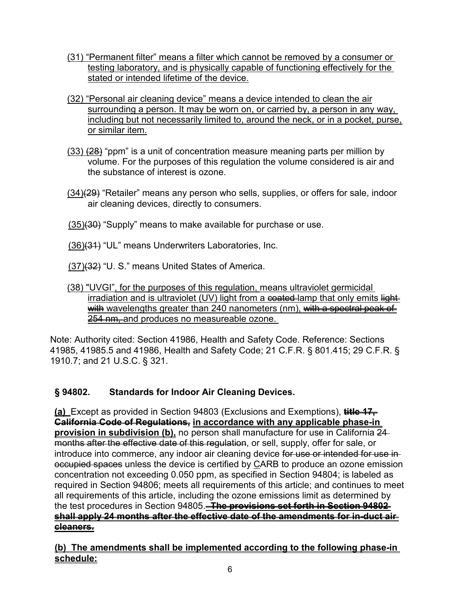- (31) "Permanent filter" means a filter which cannot be removed by a consumer or testing laboratory, and is physically capable of functioning effectively for the stated or intended lifetime of the device.
- surrounding a person. It may be worn on, or carried by, a person in any way, (32) "Personal air cleaning device" means a device intended to clean the air including but not necessarily limited to, around the neck, or in a pocket, purse, or similar item.
- (33) <del>(28)</del> "ppm" is a unit of concentration measure meaning parts per million by volume. For the purposes of this regulation the volume considered is air and the substance of interest is ozone.
- <u>(34)(29</u>) "Retailer" means any person who sells, supplies, or offers for sale, indoor air cleaning devices, directly to consumers.
- <u>(35)</u>(30) "Supply" means to make available for purchase or use.
- <u>(36)<del>(31)</del></u> "UL" means Underwriters Laboratories, Inc.
- <u>(37)<del>(32)</del></u> "U. S." means United States of America.

## 254 nm and produces no measureable ozone. (38) "UVGI", for the purposes of this regulation, means ultraviolet germicidal irradiation and is ultraviolet (UV) light from a  $\epsilon$  and  $\epsilon$  and  $\epsilon$  and  $\epsilon$  and  $\epsilon$  is lightwith wavelengths greater than 240 nanometers (nm), with a spectral peak of

 41985, 41985.5 and 41986, Health and Safety Code; 21 C.F.R. § 801.415; 29 C.F.R. § Note: Authority cited: Section 41986, Health and Safety Code. Reference: Sections 1910.7; and 21 U.S.C. § 321.

## **Standards for Indoor Air Cleaning Devices.**

months after the effective date of this regulation, or sell, supply, offer for sale, or introduce into commerce, any indoor air cleaning device <del>for use or intended for use in</del> the test procedures in Section 94805. **The provisions set forth in Section 94802 (a)** Except as provided in Section 94803 (Exclusions and Exemptions), **title 17, California Code of Regulations, in accordance with any applicable phase-in provision in subdivision (b),** no person shall manufacture for use in California 24 occupied spaces unless the device is certified by CARB to produce an ozone emission concentration not exceeding 0.050 ppm, as specified in Section 94804; is labeled as required in Section 94806; meets all requirements of this article; and continues to meet all requirements of this article, including the ozone emissions limit as determined by **shall apply 24 months after the effective date of the amendments for in-duct air cleaners.** 

**(b) The amendments shall be implemented according to the following phase-in schedule:**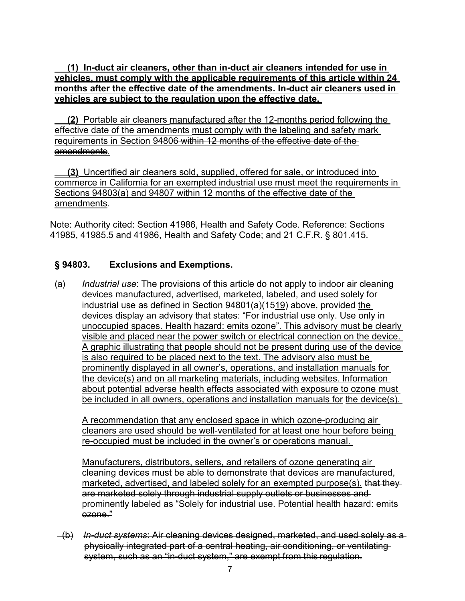vehicles are subject to the regulation upon the effective date. **(1) In-duct air cleaners, other than in-duct air cleaners intended for use in vehicles, must comply with the applicable requirements of this article within 24 months after the effective date of the amendments. In-duct air cleaners used in** 

 requirements in Section 94806 within 12 months of the effective date of the **(2)** Portable air cleaners manufactured after the 12-months period following the effective date of the amendments must comply with the labeling and safety mark amendments.

 **(3)** Uncertified air cleaners sold, supplied, offered for sale, or introduced into commerce in California for an exempted industrial use must meet the requirements in Sections 94803(a) and 94807 within 12 months of the effective date of the amendments.

Note: Authority cited: Section 41986, Health and Safety Code. Reference: Sections 41985, 41985.5 and 41986, Health and Safety Code; and 21 C.F.R. § 801.415.

### **Exclusions and Exemptions.**

 devices manufactured, advertised, marketed, labeled, and used solely for unoccupied spaces. Health hazard: emits ozone". This advisory must be clearly visible and placed near the power switch or electrical connection on the device. visible and placed near the power switch or electrical connection on the device.<br>A graphic illustrating that people should not be present during use of the device<sub>.</sub> prominently displayed in all owner's, operations, and installation manuals for about potential adverse health effects associated with exposure to ozone must be included in all owners, operations and installation manuals for the device(s). (a) *Industrial use*: The provisions of this article do not apply to indoor air cleaning industrial use as defined in Section 94801(a)(1519) above, provided the devices display an advisory that states: "For industrial use only. Use only in is also required to be placed next to the text. The advisory also must be the device(s) and on all marketing materials, including websites. Information

 re-occupied must be included in the owner's or operations manual. A recommendation that any enclosed space in which ozone-producing air cleaners are used should be well-ventilated for at least one hour before being

Manufacturers, distributors, sellers, and retailers of ozone generating air cleaning devices must be able to demonstrate that devices are manufactured, marketed, advertised, and labeled solely for an exempted purpose(s). that theyare marketed solely through industrial supply outlets or businesses and prominently labeled as "Solely for industrial use. Potential health hazard: emits  $\overline{e}$ 

 (b) *In-duct systems*: Air cleaning devices designed, marketed, and used solely as a system, such as an "in-duct system," are exempt from this regulation. physically integrated part of a central heating, air conditioning, or ventilating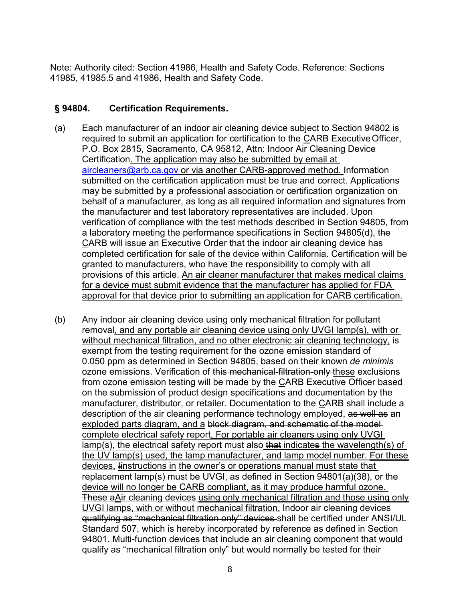Note: Authority cited: Section 41986, Health and Safety Code. Reference: Sections 41985, 41985.5 and 41986, Health and Safety Code.

#### § 94804. **§ 94804. Certification Requirements.**

- required to submit an application for certification to the <u>C</u>ARB Executive Officer, Certification. The application may also be submitted by email at behalf of a manufacturer, as long as all required information and signatures from verification of compliance with the test methods described in Section 94805, from (a) Each manufacturer of an indoor air cleaning device subject to Section 94802 is P.O. Box 2815, Sacramento, CA 95812, Attn: Indoor Air Cleaning Device [aircleaners@arb.ca.gov](mailto:aircleaners@arb.ca.gov) or via another CARB-approved method. Information submitted on the certification application must be true and correct. Applications may be submitted by a professional association or certification organization on the manufacturer and test laboratory representatives are included. Upon a laboratory meeting the performance specifications in Section 94805(d), the CARB will issue an Executive Order that the indoor air cleaning device has completed certification for sale of the device within California. Certification will be granted to manufacturers, who have the responsibility to comply with all provisions of this article. An air cleaner manufacturer that makes medical claims for a device must submit evidence that the manufacturer has applied for FDA approval for that device prior to submitting an application for CARB certification.
- removal, and any portable air cleaning device using only UVGI lamp(s), with or without mechanical filtration, and no other electronic air cleaning technology, is exempt from the testing requirement for the ozone emission standard of ozone emissions. Verification of <del>this mechanical-filtration-only <u>t</u>hese</del> exclusions exploded parts diagram, and a block diagram, and schematic of the model <u>lamp(s), the electrical safety report must also <del>that</del> indicates the wavelength(s) of</u> UVGI lamps, with or without mechanical filtration, Indoor air cleaning devices qualifying as "mechanical filtration only" devices shall be certified under ANSI/UL qualify as "mechanical filtration only" but would normally be tested for their (b) Any indoor air cleaning device using only mechanical filtration for pollutant 0.050 ppm as determined in Section 94805, based on their known *de minimis*  from ozone emission testing will be made by the CARB Executive Officer based on the submission of product design specifications and documentation by the manufacturer, distributor, or retailer. Documentation to the CARB shall include a description of the air cleaning performance technology employed, as well as an complete electrical safety report. For portable air cleaners using only UVGI the UV lamp(s) used, the lamp manufacturer, and lamp model number. For these devices, linstructions in the owner's or operations manual must state that replacement lamp(s) must be UVGI, as defined in Section 94801(a)(38), or the device will no longer be CARB compliant, as it may produce harmful ozone. These aAir cleaning devices using only mechanical filtration and those using only Standard 507, which is hereby incorporated by reference as defined in Section 94801. Multi-function devices that include an air cleaning component that would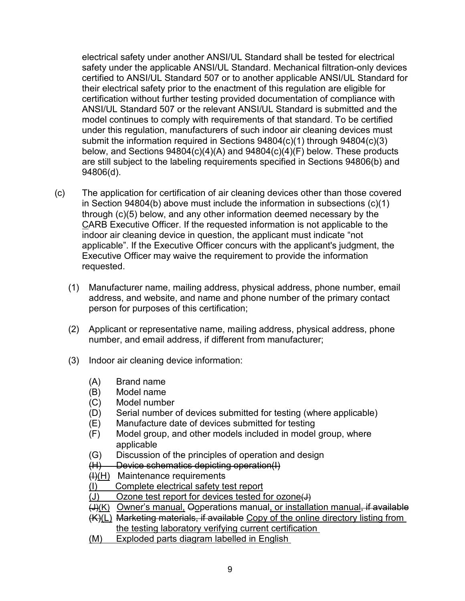safety under the applicable ANSI/UL Standard. Mechanical filtration-only devices electrical safety under another ANSI/UL Standard shall be tested for electrical certified to ANSI/UL Standard 507 or to another applicable ANSI/UL Standard for their electrical safety prior to the enactment of this regulation are eligible for certification without further testing provided documentation of compliance with ANSI/UL Standard 507 or the relevant ANSI/UL Standard is submitted and the model continues to comply with requirements of that standard. To be certified under this regulation, manufacturers of such indoor air cleaning devices must submit the information required in Sections 94804(c)(1) through 94804(c)(3) below, and Sections 94804(c)(4)(A) and 94804(c)(4)(F) below. These products are still subject to the labeling requirements specified in Sections 94806(b) and 94806(d).

- (c) The application for certification of air cleaning devices other than those covered Executive Officer may waive the requirement to provide the information in Section 94804(b) above must include the information in subsections (c)(1) through (c)(5) below, and any other information deemed necessary by the CARB Executive Officer. If the requested information is not applicable to the indoor air cleaning device in question, the applicant must indicate "not applicable". If the Executive Officer concurs with the applicant's judgment, the requested.
	- address, and website, and name and phone number of the primary contact (1) Manufacturer name, mailing address, physical address, phone number, email person for purposes of this certification;
	- (2) Applicant or representative name, mailing address, physical address, phone number, and email address, if different from manufacturer;
	- (3) Indoor air cleaning device information:
		- (A) Brand name
		- (B) Model name
		- (C) Model number
		- (D) Serial number of devices submitted for testing (where applicable)
		- (E) Manufacture date of devices submitted for testing
		- (F) Model group, and other models included in model group, where applicable
		- (G) Discussion of the principles of operation and design
		- (H) Device schematics depicting operation(I)
		- (<del>I)</del>(H) Maintenance requirements
		- $\ddot{\phantom{a}}$ (I) Complete electrical safety test report
		- (J) Ozone test report for devices tested for ozone $\left(\downarrow\right)$
		- <del>(J)</del>(K) Owner's manual, Ooperations manual<u>, or installation manual<del>,</del> if available</u>
		- the testing laboratory verifying current certification (K)(L) Marketing materials, if available Copy of the online directory listing from
		- $\ddot{\phantom{a}}$ the testing laboratory verifying current certification<br>(M) Exploded parts diagram labelled in English<br>9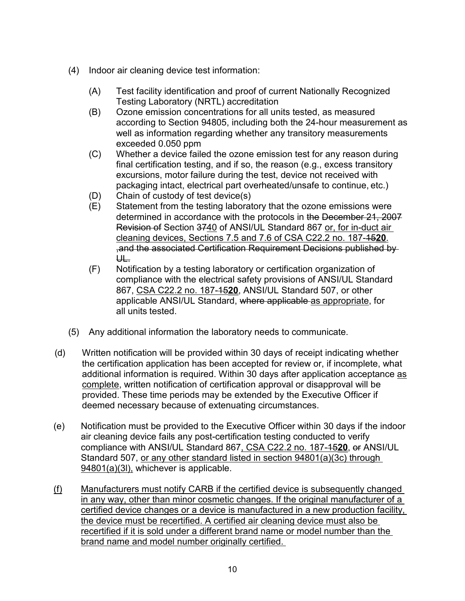- (4) Indoor air cleaning device test information:
	- (A) Test facility identification and proof of current Nationally Recognized Testing Laboratory (NRTL) accreditation
	- (B) Ozone emission concentrations for all units tested, as measured according to Section 94805, including both the 24-hour measurement as exceeded 0.050 ppm well as information regarding whether any transitory measurements
	- (C) Whether a device failed the ozone emission test for any reason during packaging intact, electrical part overheated/unsafe to continue, etc.) final certification testing, and if so, the reason (e.g., excess transitory excursions, motor failure during the test, device not received with
	- (D) Chain of custody of test device(s)
	- <del>Revision of</del> Section <del>37<u>40</u> of ANSI/UL Standard 867 <u>or, for in-duct air</u></del> cleaning devices, Sections 7.5 and 7.6 of CSA C22.2 no. 187-15**20**. (E) Statement from the testing laboratory that the ozone emissions were determined in accordance with the protocols in the December 21, 2007 ,and the associated Certification Requirement Decisions published by UL.
	- 867, CSA C22.2 no. 187-15**20**, ANSI/UL Standard 507, or other all units tested. (F) Notification by a testing laboratory or certification organization of compliance with the electrical safety provisions of ANSI/UL Standard applicable ANSI/UL Standard, where applicable as appropriate, for
- (5) Any additional information the laboratory needs to communicate.
- (d) Written notification will be provided within 30 days of receipt indicating whether the certification application has been accepted for review or, if incomplete, what additional information is required. Within 30 days after application acceptance as complete, written notification of certification approval or disapproval will be provided. These time periods may be extended by the Executive Officer if deemed necessary because of extenuating circumstances.
- (e) Notification must be provided to the Executive Officer within 30 days if the indoor air cleaning device fails any post-certification testing conducted to verify compliance with ANSI/UL Standard 867, CSA C22.2 no. 187-15**20**, or ANSI/UL Standard 507, or any other standard listed in section 94801(a)(3c) through 94801(a)(3l), whichever is applicable.
- in any way, other than minor cosmetic changes. If the original manufacturer of a recertified if it is sold under a different brand name or model number than the brand name and model number originally certified. (f) Manufacturers must notify CARB if the certified device is subsequently changed certified device changes or a device is manufactured in a new production facility, the device must be recertified. A certified air cleaning device must also be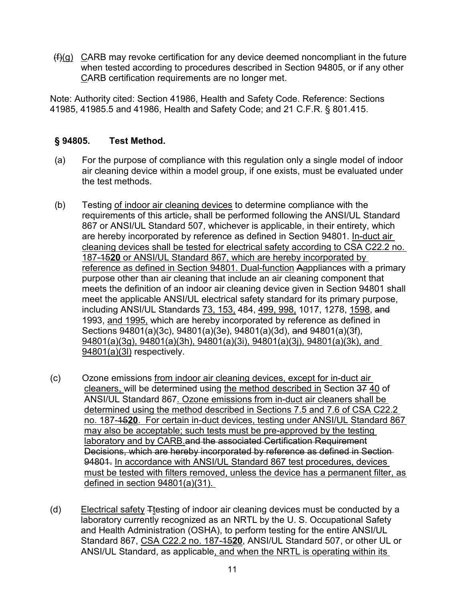$(f)(g)$   $C$ ARB may revoke certification for any device deemed noncompliant in the future when tested according to procedures described in Section 94805, or if any other CARB certification requirements are no longer met.

Note: Authority cited: Section 41986, Health and Safety Code. Reference: Sections 41985, 41985.5 and 41986, Health and Safety Code; and 21 C.F.R. § 801.415.

### **§ 94805. Test Method.**

- the test methods. (a) For the purpose of compliance with this regulation only a single model of indoor air cleaning device within a model group, if one exists, must be evaluated under
- (b) Testing <u>of indoor air cleaning devices</u> to determine compliance with the 187-15**20** or ANSI/UL Standard 867, which are hereby incorporated by meets the definition of an indoor air cleaning device given in Section 94801 shall including ANSI/UL Standards <u>73, 153,</u> 484, <u>499, 998,</u> 1017, 1278, <u>1598,</u> <del>and</del> 1993, and 1995, which are hereby incorporated by reference as defined in requirements of this article, shall be performed following the ANSI/UL Standard 867 or ANSI/UL Standard 507, whichever is applicable, in their entirety, which are hereby incorporated by reference as defined in Section 94801. In-duct air cleaning devices shall be tested for electrical safety according to CSA C22.2 no. reference as defined in Section 94801. Dual-function Aappliances with a primary purpose other than air cleaning that include an air cleaning component that meet the applicable ANSI/UL electrical safety standard for its primary purpose, Sections 94801(a)(3c), 94801(a)(3e), 94801(a)(3d), and 94801(a)(3f), 94801(a)(3g), 94801(a)(3h), 94801(a)(3i), 94801(a)(3j), 94801(a)(3k), and 94801(a)(3l) respectively.
- (c) Ozone emissions from indoor air cleaning devices, except for in-duct air <u>cleaners, </u>will be determined using <u>the method described in</u> Section <del>37</del> <u>40</u> of ANSI/UL Standard 867. Ozone emissions from in-duct air cleaners shall be no. 187-15**20**. For certain in-duct devices, testing under ANSI/UL Standard 867 94801. In accordance with ANSI/UL Standard 867 test procedures, devices must be tested with filters removed, unless the device has a permanent filter, as defined in section 94801(a)(31). determined using the method described in Sections 7.5 and 7.6 of CSA C22.2 may also be acceptable; such tests must be pre-approved by the testing laboratory and by CARB and the associated Certification Requirement Decisions, which are hereby incorporated by reference as defined in Section
- Standard 867, CSA C22.2 no. 187-15**20**, ANSI/UL Standard 507, or other UL or (d) Electrical safety  $\pm$ testing of indoor air cleaning devices must be conducted by a laboratory currently recognized as an NRTL by the U. S. Occupational Safety and Health Administration (OSHA), to perform testing for the entire ANSI/UL ANSI/UL Standard, as applicable, and when the NRTL is operating within its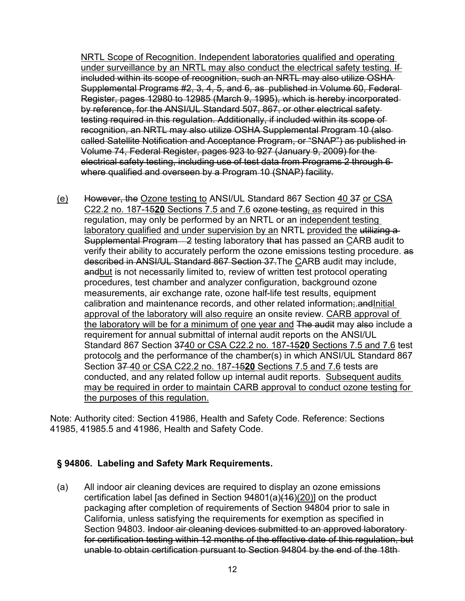Supplemental Programs #2, 3, 4, 5, and 6, as published in Volume 60, Federal by reference, for the ANSI/UL Standard 507, 867, or other electrical safety electrical safety testing, including use of test data from Programs 2 through 6 where qualified and overseen by a Program 10 (SNAP) facility. NRTL Scope of Recognition. Independent laboratories qualified and operating under surveillance by an NRTL may also conduct the electrical safety testing. If included within its scope of recognition, such an NRTL may also utilize OSHA Register, pages 12980 to 12985 (March 9, 1995), which is hereby incorporated testing required in this regulation. Additionally, if included within its scope of recognition, an NRTL may also utilize OSHA Supplemental Program 10 (also called Satellite Notification and Acceptance Program, or "SNAP") as published in Volume 74, Federal Register, pages 923 to 927 (January 9, 2009) for the

 (e) However, the Ozone testing to ANSI/UL Standard 867 Section 40 37 or CSA C22.2 no. 187-15**20** Sections 7.5 and 7.6 ozone testing, as required in this Supplemental Program—2 testing laboratory that has passed an <u>C</u>ARB audit to <u>the laboratory will be for a minimum of one year and</u> <del>The audit</del> may <del>also</del> include a requirement for annual submittal of internal audit reports on the ANSI/UL Standard 867 Section 3740 or CSA C22.2 no. 187-15**20** Sections 7.5 and 7.6 test Section 37 40 or CSA C22.2 no. 187-15**20** Sections 7.5 and 7.6 tests are conducted, and any related follow up internal audit reports. Subsequent audits may be required in order to maintain CARB approval to conduct ozone testing for regulation, may only be performed by an NRTL or an independent testing laboratory qualified and under supervision by an NRTL provided the utilizing averify their ability to accurately perform the ozone emissions testing procedure. as described in ANSI/UL Standard 867 Section 37.The CARB audit may include, andbut is not necessarily limited to, review of written test protocol operating procedures, test chamber and analyzer configuration, background ozone measurements, air exchange rate, ozone half-life test results, equipment calibration and maintenance records, and other related information; and Initial approval of the laboratory will also require an onsite review. CARB approval of protocols and the performance of the chamber(s) in which ANSI/UL Standard 867 the purposes of this regulation.

Note: Authority cited: Section 41986, Health and Safety Code. Reference: Sections 41985, 41985.5 and 41986, Health and Safety Code.

# **§ 94806. Labeling and Safety Mark Requirements.**

 Section 94803. Indoor air cleaning devices submitted to an approved laboratory for certification testing within 12 months of the effective date of this regulation, but (a) All indoor air cleaning devices are required to display an ozone emissions certification label [as defined in Section 94801(a)(16)(20)] on the product packaging after completion of requirements of Section 94804 prior to sale in California, unless satisfying the requirements for exemption as specified in unable to obtain certification pursuant to Section 94804 by the end of the 18th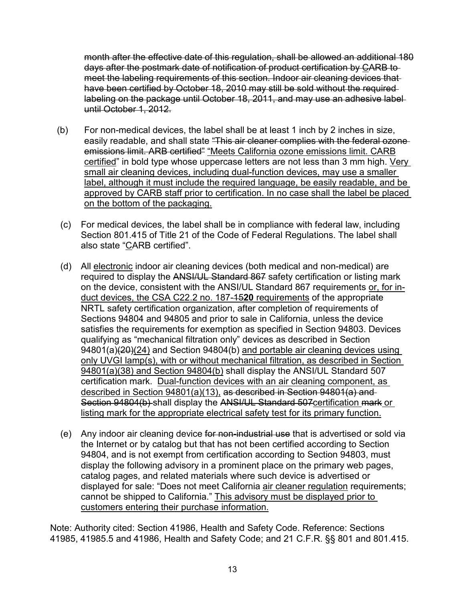month after the effective date of this regulation, shall be allowed an additional 180 days after the postmark date of notification of product certification by CARB to meet the labeling requirements of this section. Indoor air cleaning devices that have been certified by October 18, 2010 may still be sold without the required labeling on the package until October 18, 2011, and may use an adhesive label until October 1, 2012.

- <u>certified</u>" in bold type whose uppercase letters are not less than 3 mm high. <u>Very</u> small air cleaning devices, including dual-function devices, may use a smaller label, although it must include the required language, be easily readable, and be approved by CARB staff prior to certification. In no case shall the label be placed (b) For non-medical devices, the label shall be at least 1 inch by 2 inches in size, easily readable, and shall state "This air cleaner complies with the federal ozoneemissions limit. ARB certified" "Meets California ozone emissions limit. CARB on the bottom of the packaging.
- Section 801.415 of Title 21 of the Code of Federal Regulations. The label shall also state "<u>C</u>ARB certified". (c) For medical devices, the label shall be in compliance with federal law, including
- duct devices, the CSA C22.2 no. 187-15**20** requirements of the appropriate satisfies the requirements for exemption as specified in Section 94803. Devices certification mark. Dual-function devices with an air cleaning component, as Section 94804(b) shall display the ANSI/UL Standard 507<u>certification mark or</u> listing mark for the appropriate electrical safety test for its primary function. (d) All electronic indoor air cleaning devices (both medical and non-medical) are required to display the ANSI/UL Standard 867 safety certification or listing mark on the device, consistent with the ANSI/UL Standard 867 requirements or, for in-NRTL safety certification organization, after completion of requirements of Sections 94804 and 94805 and prior to sale in California, unless the device qualifying as "mechanical filtration only" devices as described in Section 94801(a)(20)(24) and Section 94804(b) and portable air cleaning devices using only UVGI lamp(s), with or without mechanical filtration, as described in Section 94801(a)(38) and Section 94804(b) shall display the ANSI/UL Standard 507 described in Section 94801(a)(13), as described in Section 94801(a) and
- (e) Any indoor air cleaning device for non-industrial use that is advertised or sold via the Internet or by catalog but that has not been certified according to Section 94804, and is not exempt from certification according to Section 94803, must display the following advisory in a prominent place on the primary web pages, catalog pages, and related materials where such device is advertised or displayed for sale: "Does not meet California air cleaner regulation requirements; cannot be shipped to California." This advisory must be displayed prior to customers entering their purchase information.

Note: Authority cited: Section 41986, Health and Safety Code. Reference: Sections 41985, 41985.5 and 41986, Health and Safety Code; and 21 C.F.R. §§ 801 and 801.415.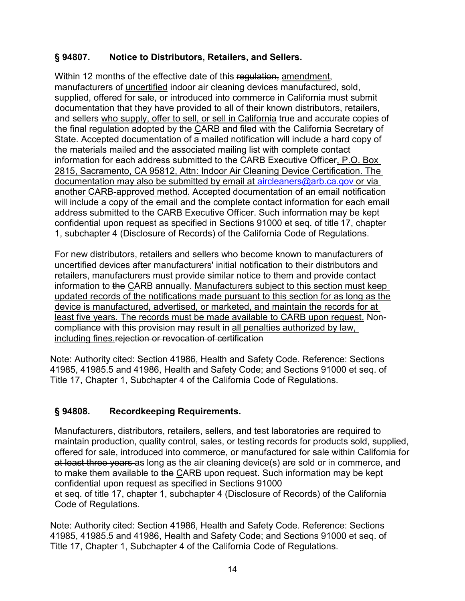### **§ 94807. Notice to Distributors, Retailers, and Sellers.**

manufacturers of <u>uncertified</u> indoor air cleaning devices manufactured, sold, supplied, offered for sale, or introduced into commerce in California must submit and sellers who supply, offer to sell, or sell in California true and accurate copies of confidential upon request as specified in Sections 91000 et seq. of title 17, chapter Within 12 months of the effective date of this regulation, amendment, documentation that they have provided to all of their known distributors, retailers, the final regulation adopted by the CARB and filed with the California Secretary of State. Accepted documentation of a mailed notification will include a hard copy of the materials mailed and the associated mailing list with complete contact information for each address submitted to the CARB Executive Officer, P.O. Box 2815, Sacramento, CA 95812, Attn: Indoor Air Cleaning Device Certification. The documentation may also be submitted by email at  $aircleaners@arb.ca.gov$  or via another CARB-approved method. Accepted documentation of an email notification will include a copy of the email and the complete contact information for each email address submitted to the CARB Executive Officer. Such information may be kept 1, subchapter 4 (Disclosure of Records) of the California Code of Regulations.

 information to the CARB annually. Manufacturers subject to this section must keep device is manufactured, advertised, or marketed, and maintain the records for at least five years. The records must be made available to CARB upon request. Non-For new distributors, retailers and sellers who become known to manufacturers of uncertified devices after manufacturers' initial notification to their distributors and retailers, manufacturers must provide similar notice to them and provide contact updated records of the notifications made pursuant to this section for as long as the compliance with this provision may result in all penalties authorized by law, including fines.rejection or revocation of certification

Note: Authority cited: Section 41986, Health and Safety Code. Reference: Sections 41985, 41985.5 and 41986, Health and Safety Code; and Sections 91000 et seq. of Title 17, Chapter 1, Subchapter 4 of the California Code of Regulations.

## **§ 94808. Recordkeeping Requirements.**

 et seq. of title 17, chapter 1, subchapter 4 (Disclosure of Records) of the California Manufacturers, distributors, retailers, sellers, and test laboratories are required to maintain production, quality control, sales, or testing records for products sold, supplied, offered for sale, introduced into commerce, or manufactured for sale within California for at least three years as long as the air cleaning device(s) are sold or in commerce, and to make them available to the CARB upon request. Such information may be kept confidential upon request as specified in Sections 91000 Code of Regulations.

Note: Authority cited: Section 41986, Health and Safety Code. Reference: Sections 41985, 41985.5 and 41986, Health and Safety Code; and Sections 91000 et seq. of Title 17, Chapter 1, Subchapter 4 of the California Code of Regulations.